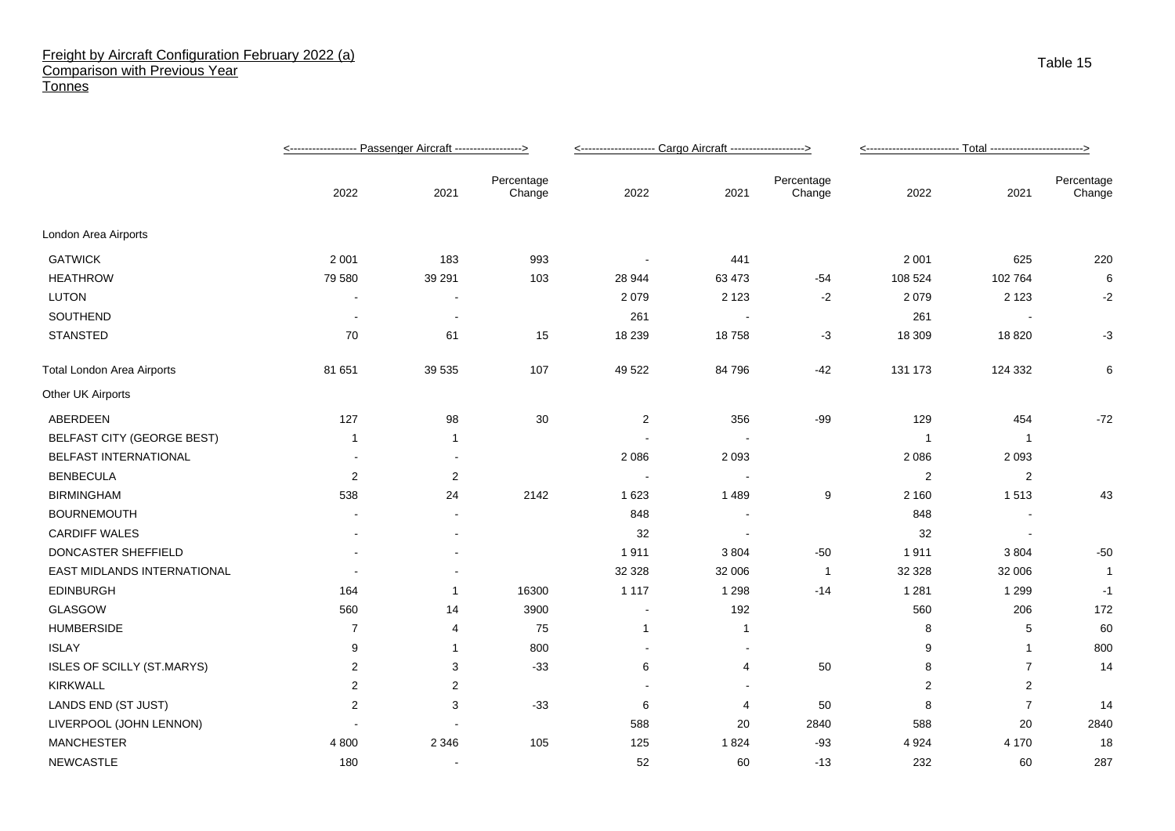## Freight by Aircraft Configuration February 2022 (a) Comparison with Previous Year **Tonnes**

|                                   |                |                          |                      | <-------------------- Cargo Aircraft -------------------> |                          |                      |                |                |                      |
|-----------------------------------|----------------|--------------------------|----------------------|-----------------------------------------------------------|--------------------------|----------------------|----------------|----------------|----------------------|
|                                   | 2022           | 2021                     | Percentage<br>Change | 2022                                                      | 2021                     | Percentage<br>Change | 2022           | 2021           | Percentage<br>Change |
| London Area Airports              |                |                          |                      |                                                           |                          |                      |                |                |                      |
| <b>GATWICK</b>                    | 2 0 0 1        | 183                      | 993                  |                                                           | 441                      |                      | 2 0 0 1        | 625            | 220                  |
| <b>HEATHROW</b>                   | 79 580         | 39 291                   | 103                  | 28 944                                                    | 63 473                   | $-54$                | 108 524        | 102 764        | 6                    |
| <b>LUTON</b>                      |                |                          |                      | 2079                                                      | 2 1 2 3                  | $-2$                 | 2 0 7 9        | 2 1 2 3        | $-2$                 |
| SOUTHEND                          |                | $\overline{\phantom{a}}$ |                      | 261                                                       | $\sim$                   |                      | 261            |                |                      |
| STANSTED                          | 70             | 61                       | 15                   | 18 239                                                    | 18758                    | $-3$                 | 18 309         | 18 8 20        | $-3$                 |
| <b>Total London Area Airports</b> | 81 651         | 39 535                   | 107                  | 49 522                                                    | 84 796                   | $-42$                | 131 173        | 124 332        | 6                    |
| Other UK Airports                 |                |                          |                      |                                                           |                          |                      |                |                |                      |
| ABERDEEN                          | 127            | 98                       | 30                   | $\overline{2}$                                            | 356                      | $-99$                | 129            | 454            | $-72$                |
| <b>BELFAST CITY (GEORGE BEST)</b> | -1             | 1                        |                      |                                                           |                          |                      | - 1            | -1             |                      |
| BELFAST INTERNATIONAL             |                |                          |                      | 2086                                                      | 2 0 9 3                  |                      | 2 0 8 6        | 2 0 9 3        |                      |
| <b>BENBECULA</b>                  | $\overline{c}$ | $\overline{2}$           |                      |                                                           | $\overline{\phantom{a}}$ |                      | 2              | 2              |                      |
| <b>BIRMINGHAM</b>                 | 538            | 24                       | 2142                 | 1 6 2 3                                                   | 1489                     | 9                    | 2 1 6 0        | 1513           | 43                   |
| <b>BOURNEMOUTH</b>                |                | $\blacksquare$           |                      | 848                                                       | $\blacksquare$           |                      | 848            |                |                      |
| <b>CARDIFF WALES</b>              |                | $\overline{\phantom{a}}$ |                      | 32                                                        | $\overline{\phantom{a}}$ |                      | 32             |                |                      |
| DONCASTER SHEFFIELD               |                |                          |                      | 1911                                                      | 3 8 0 4                  | $-50$                | 1911           | 3804           | $-50$                |
| EAST MIDLANDS INTERNATIONAL       |                |                          |                      | 32 328                                                    | 32 006                   | $\overline{1}$       | 32 328         | 32 006         | 1                    |
| <b>EDINBURGH</b>                  | 164            | 1                        | 16300                | 1 1 1 7                                                   | 1 2 9 8                  | $-14$                | 1 2 8 1        | 1 2 9 9        | $-1$                 |
| GLASGOW                           | 560            | 14                       | 3900                 | $\blacksquare$                                            | 192                      |                      | 560            | 206            | 172                  |
| <b>HUMBERSIDE</b>                 | 7              | 4                        | 75                   | $\mathbf{1}$                                              | 1                        |                      | 8              | 5              | 60                   |
| <b>ISLAY</b>                      | 9              | -1                       | 800                  | $\blacksquare$                                            | $\overline{\phantom{a}}$ |                      | 9              | -1             | 800                  |
| ISLES OF SCILLY (ST.MARYS)        | $\overline{c}$ | 3                        | $-33$                | 6                                                         | 4                        | 50                   | 8              | $\overline{7}$ | 14                   |
| KIRKWALL                          | $\overline{2}$ | $\overline{2}$           |                      |                                                           |                          |                      | $\overline{2}$ | $\overline{2}$ |                      |
| LANDS END (ST JUST)               | $\overline{2}$ | 3                        | $-33$                | 6                                                         | 4                        | 50                   | 8              | 7              | 14                   |
| LIVERPOOL (JOHN LENNON)           |                |                          |                      | 588                                                       | 20                       | 2840                 | 588            | 20             | 2840                 |
| <b>MANCHESTER</b>                 | 4 8 0 0        | 2 3 4 6                  | 105                  | 125                                                       | 1824                     | $-93$                | 4 9 24         | 4 170          | 18                   |
| NEWCASTLE                         | 180            |                          |                      | 52                                                        | 60                       | $-13$                | 232            | 60             | 287                  |